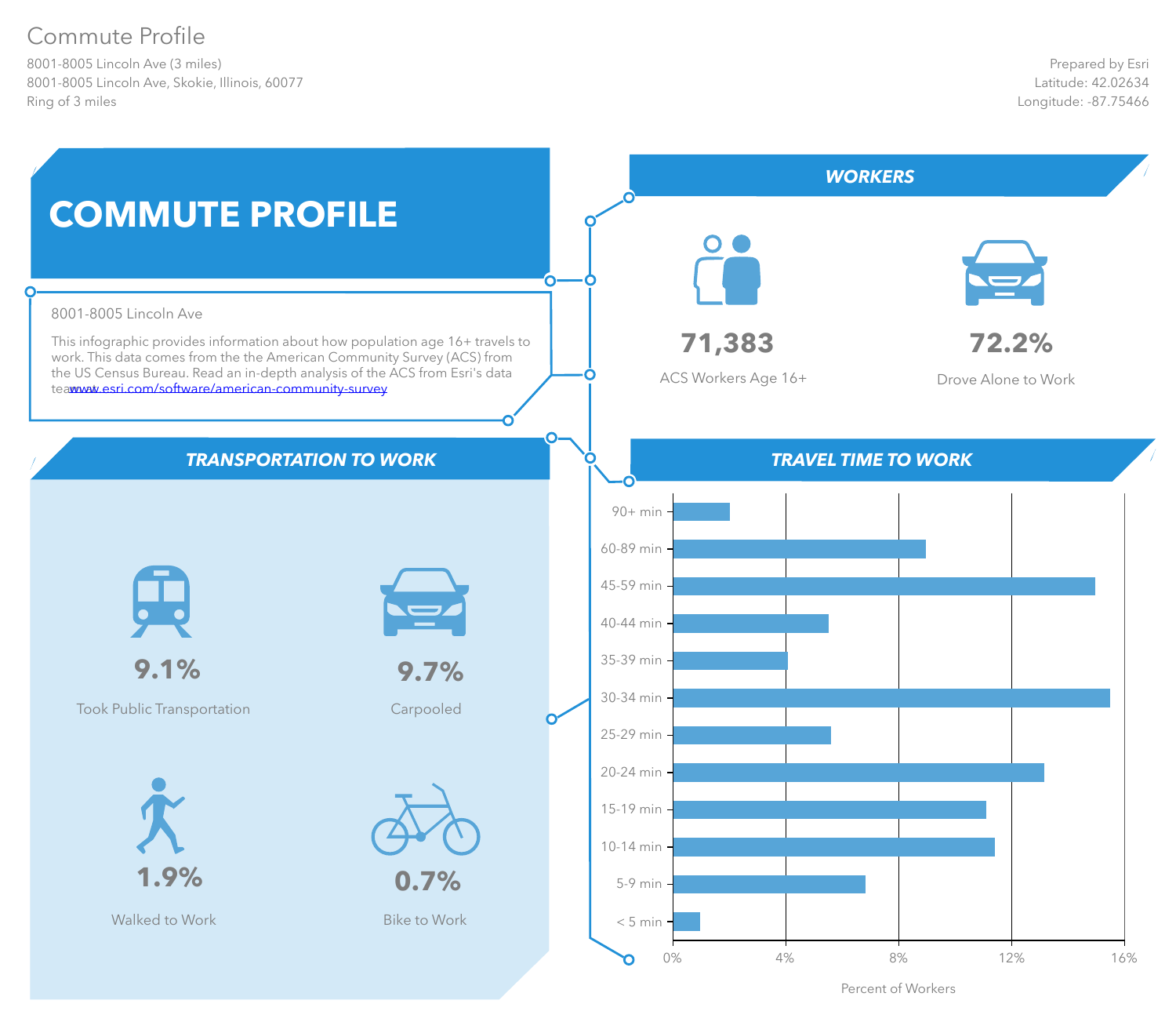# Commute Profile

8001-8005 Lincoln Ave (3 miles) 8001-8005 Lincoln Ave, Skokie, Illinois, 60077 Ring of 3 miles



Percent of Workers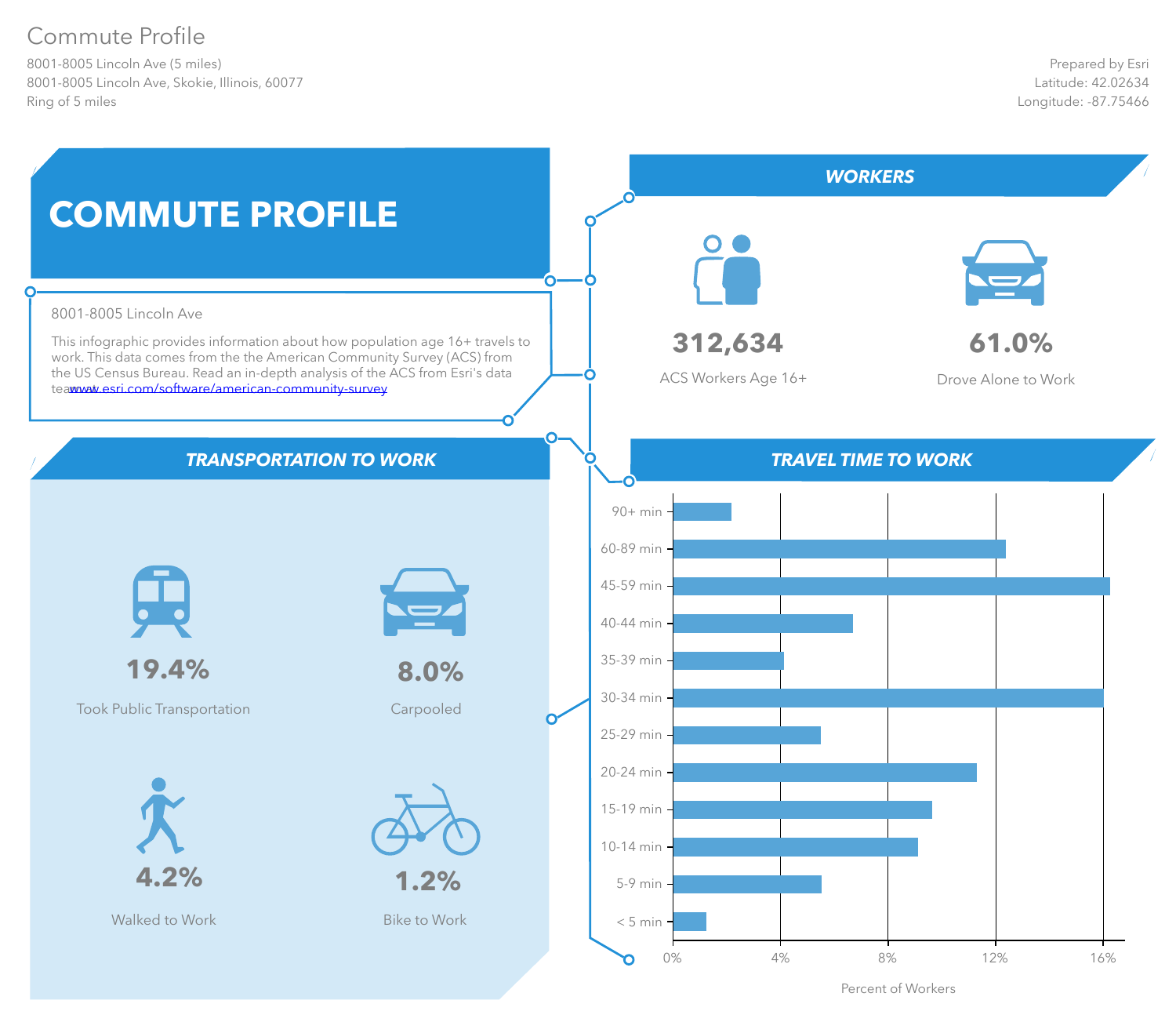# Commute Profile

8001-8005 Lincoln Ave (5 miles) 8001-8005 Lincoln Ave, Skokie, Illinois, 60077 Ring of 5 miles



Percent of Workers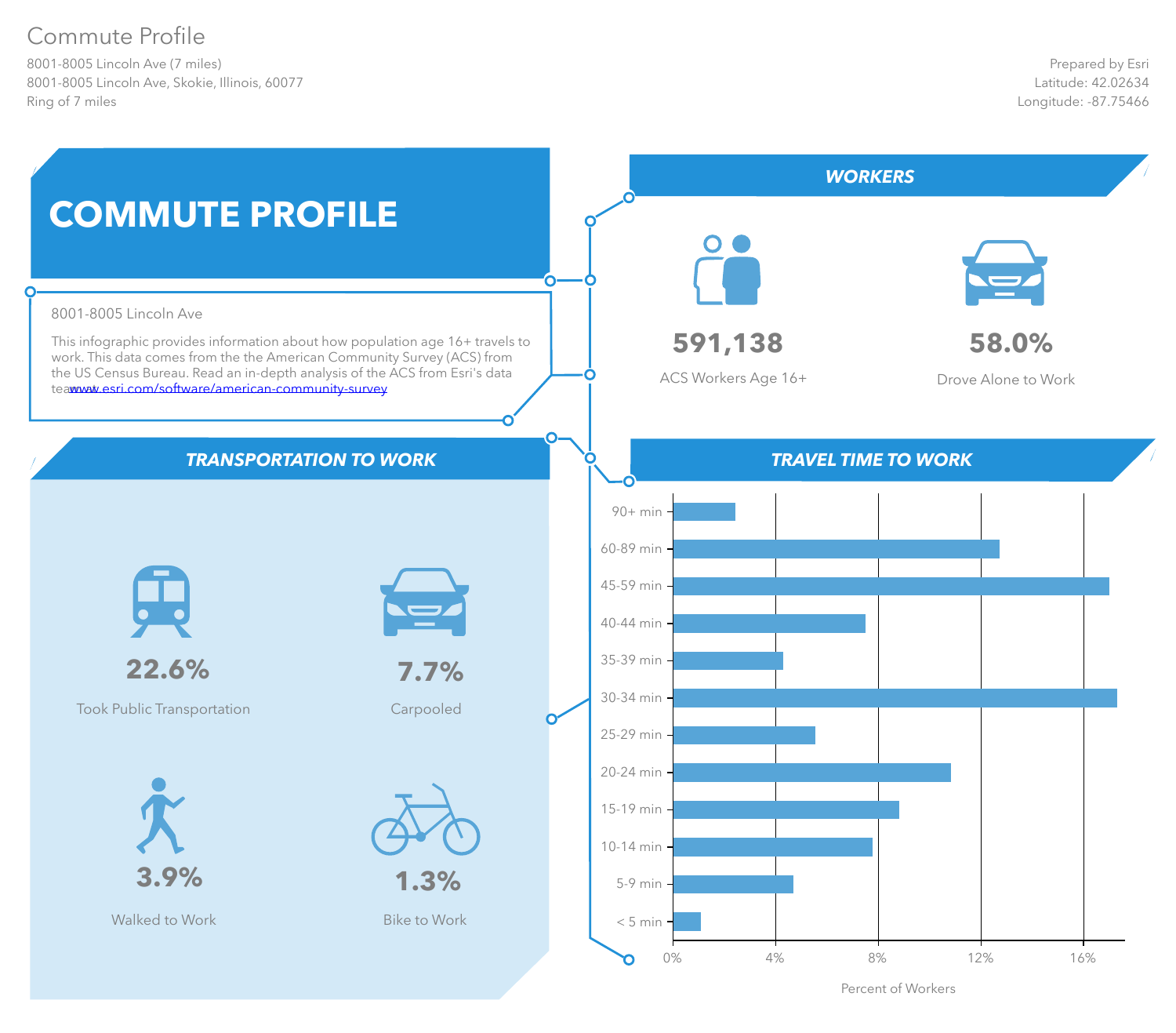# Commute Profile

8001-8005 Lincoln Ave (7 miles) 8001-8005 Lincoln Ave, Skokie, Illinois, 60077 Ring of 7 miles



Percent of Workers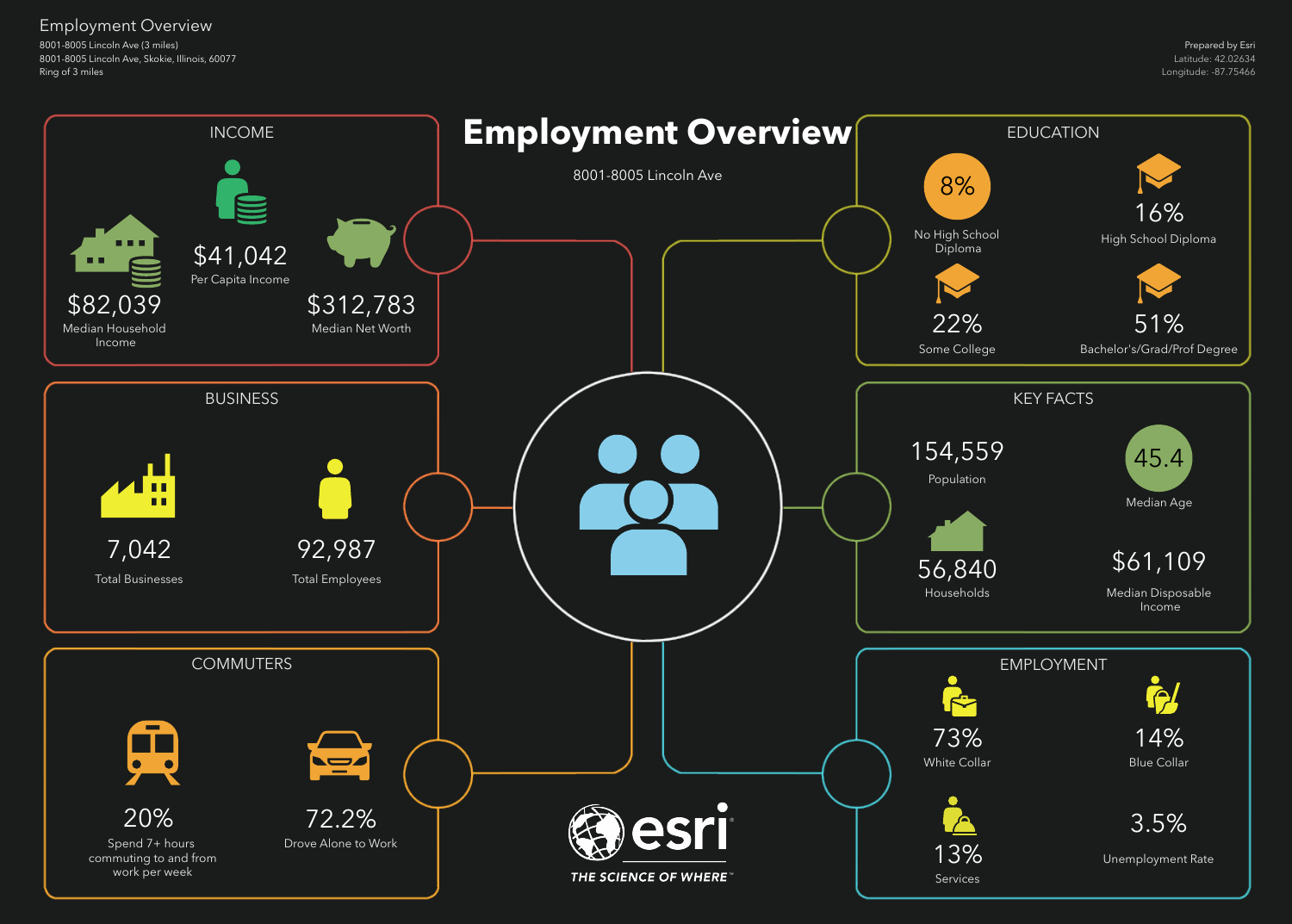8001-8005 Lincoln Ave (3 miles) 8001-8005 Lincoln Ave, Skokie, Illinois, 60077 Ring of 3 miles

Employment Overview

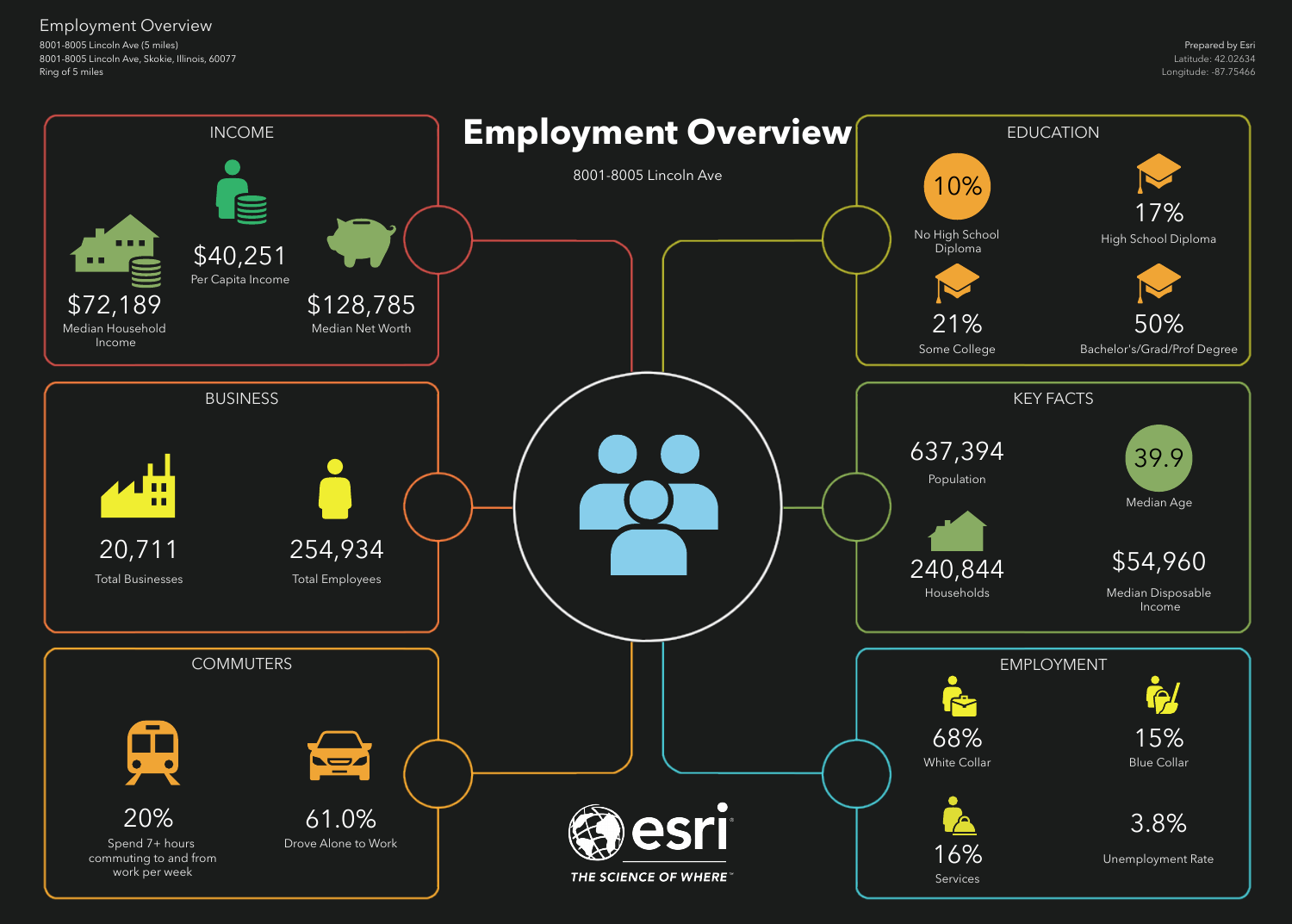8001-8005 Lincoln Ave (5 miles) 8001-8005 Lincoln Ave, Skokie, Illinois, 60077 Ring of 5 miles

Employment Overview

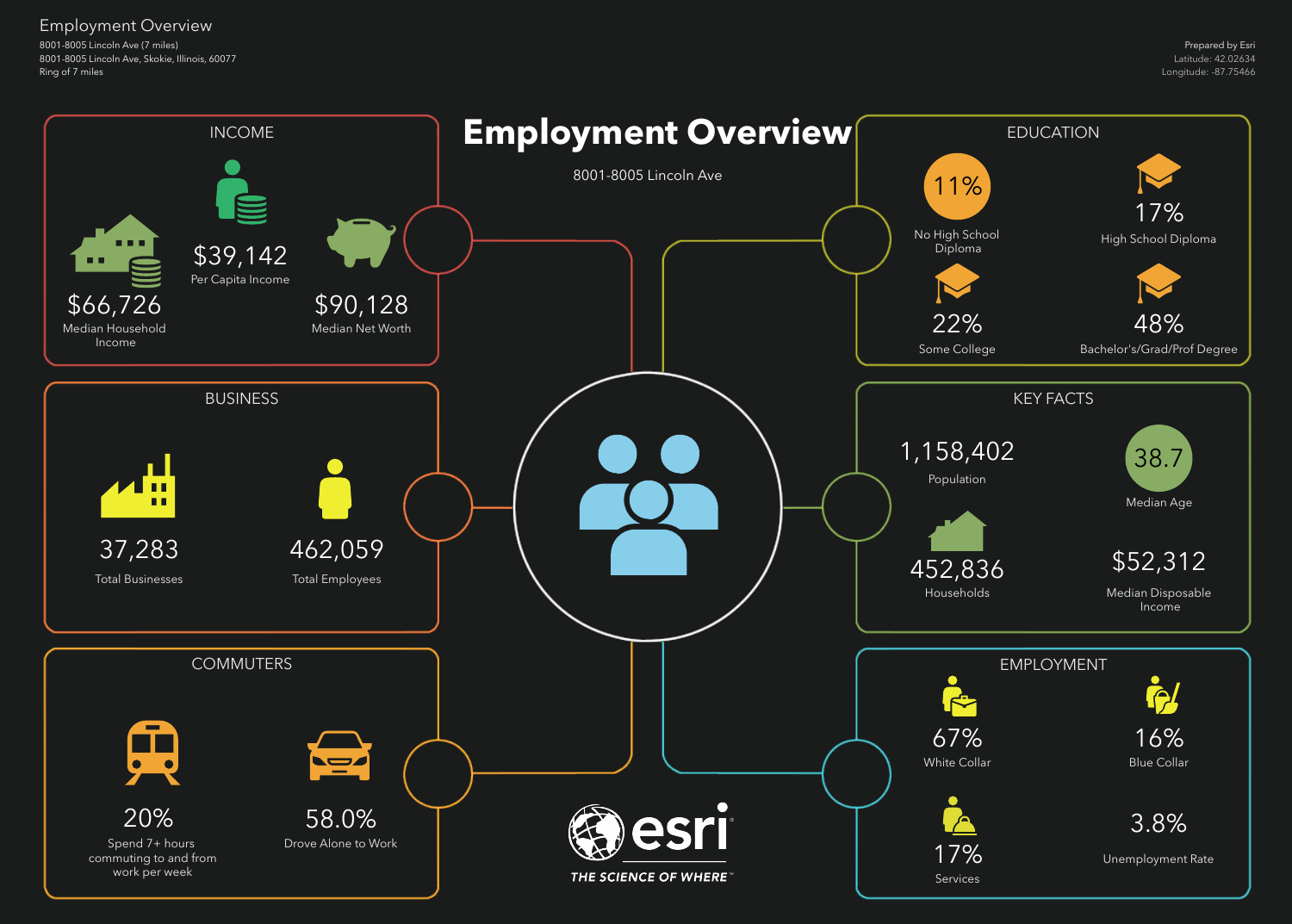8001-8005 Lincoln Ave (7 miles) 8001-8005 Lincoln Ave, Skokie, Illinois, 60077 Ring of 7 miles

## Employment Overview

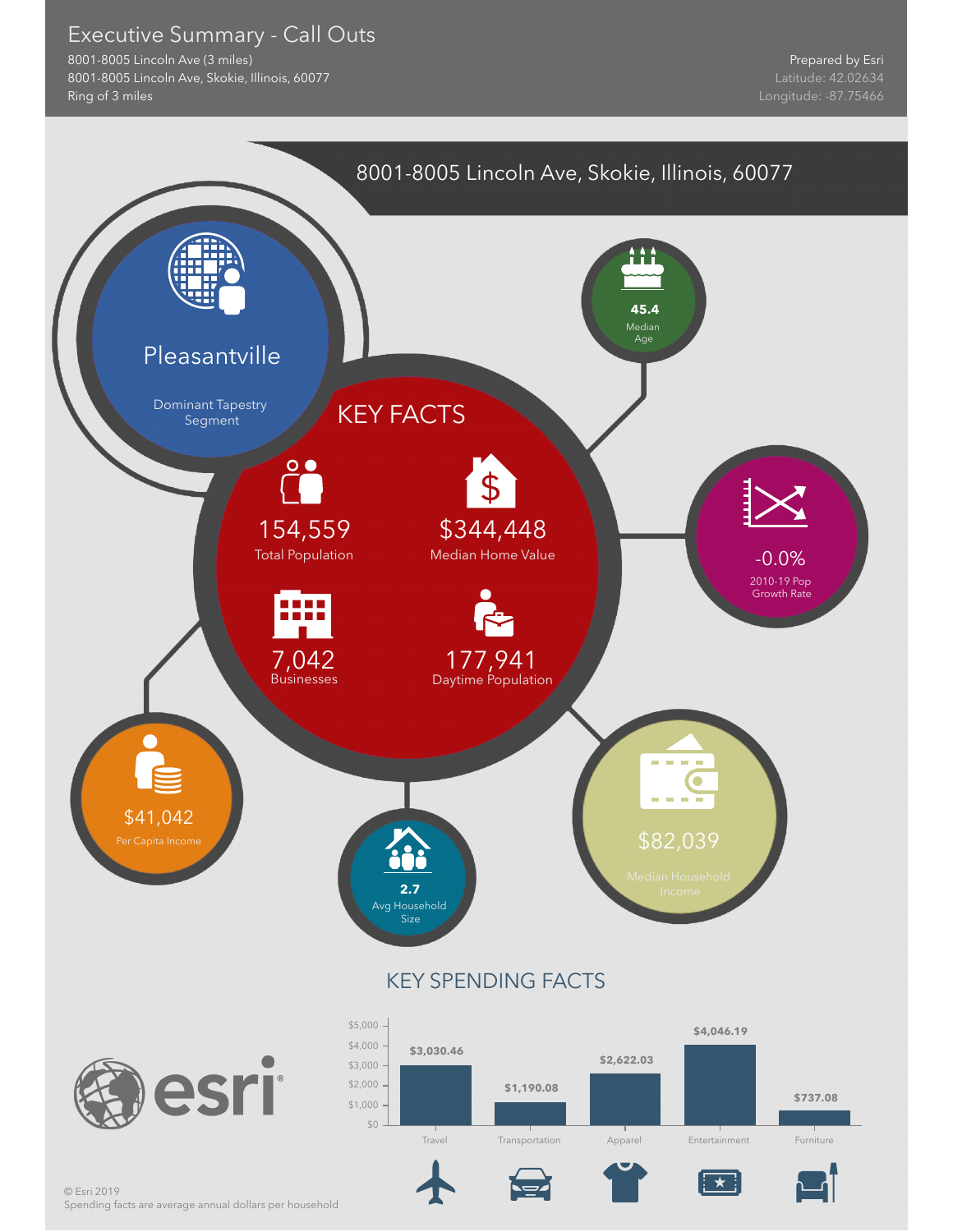#### Executive Summary - Call Outs

8001-8005 Lincoln Ave (3 miles) 8001-8005 Lincoln Ave, Skokie, Illinois, 60077 Ring of 3 miles



Spending facts are average annual dollars per household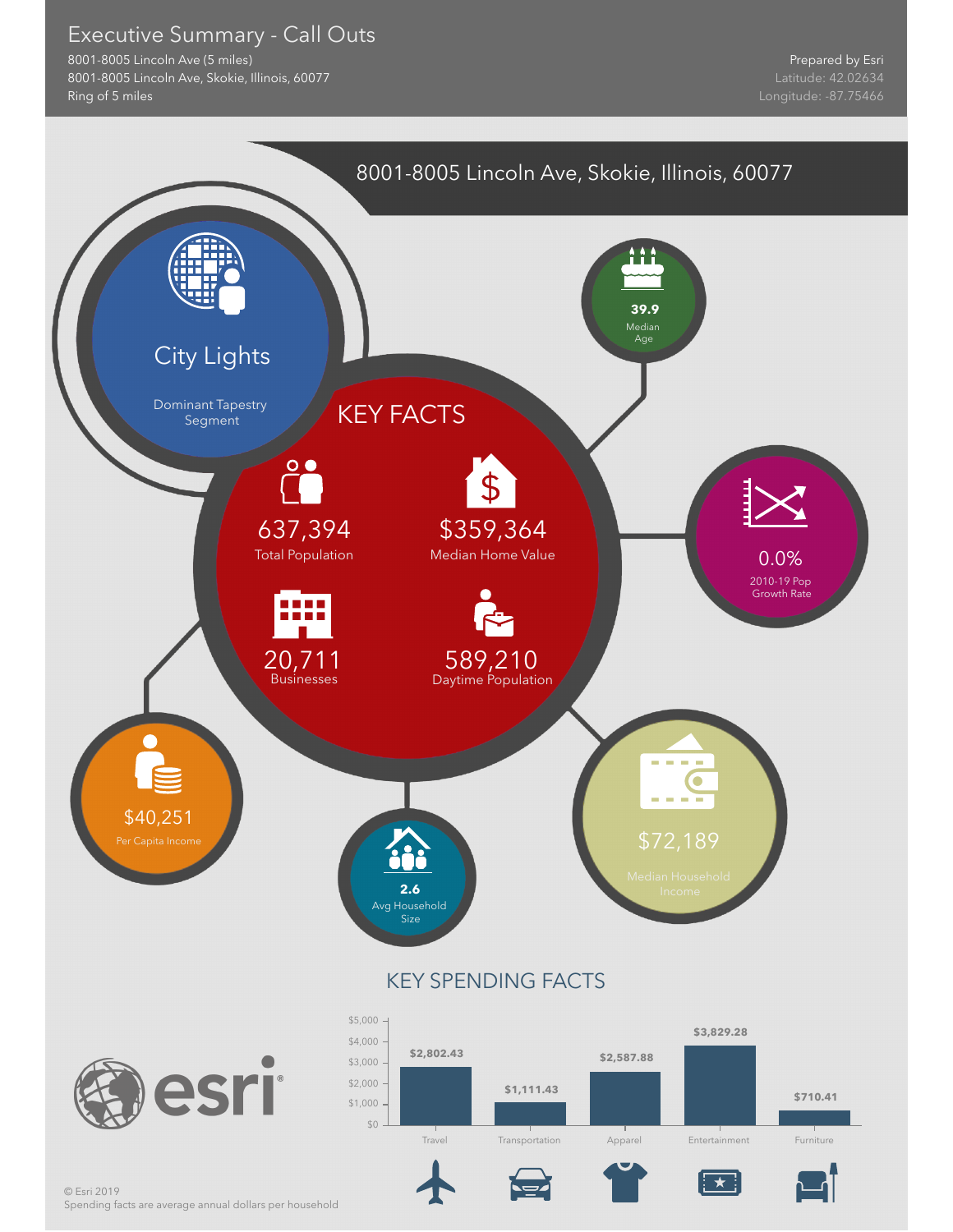#### Executive Summary - Call Outs

8001-8005 Lincoln Ave (5 miles) 8001-8005 Lincoln Ave, Skokie, Illinois, 60077 Ring of 5 miles

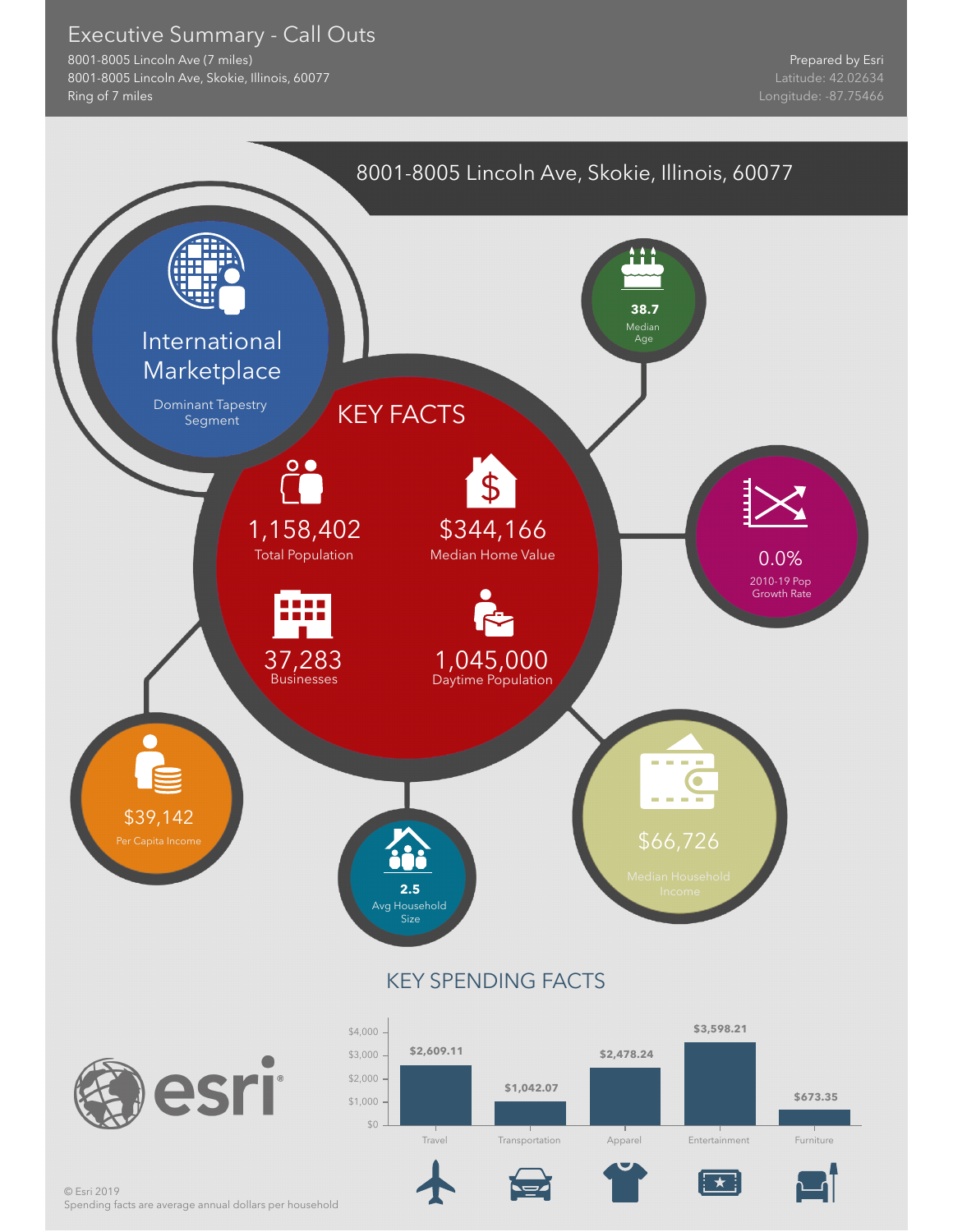#### Executive Summary - Call Outs

8001-8005 Lincoln Ave (7 miles) 8001-8005 Lincoln Ave, Skokie, Illinois, 60077 Ring of 7 miles



Spending facts are average annual dollars per household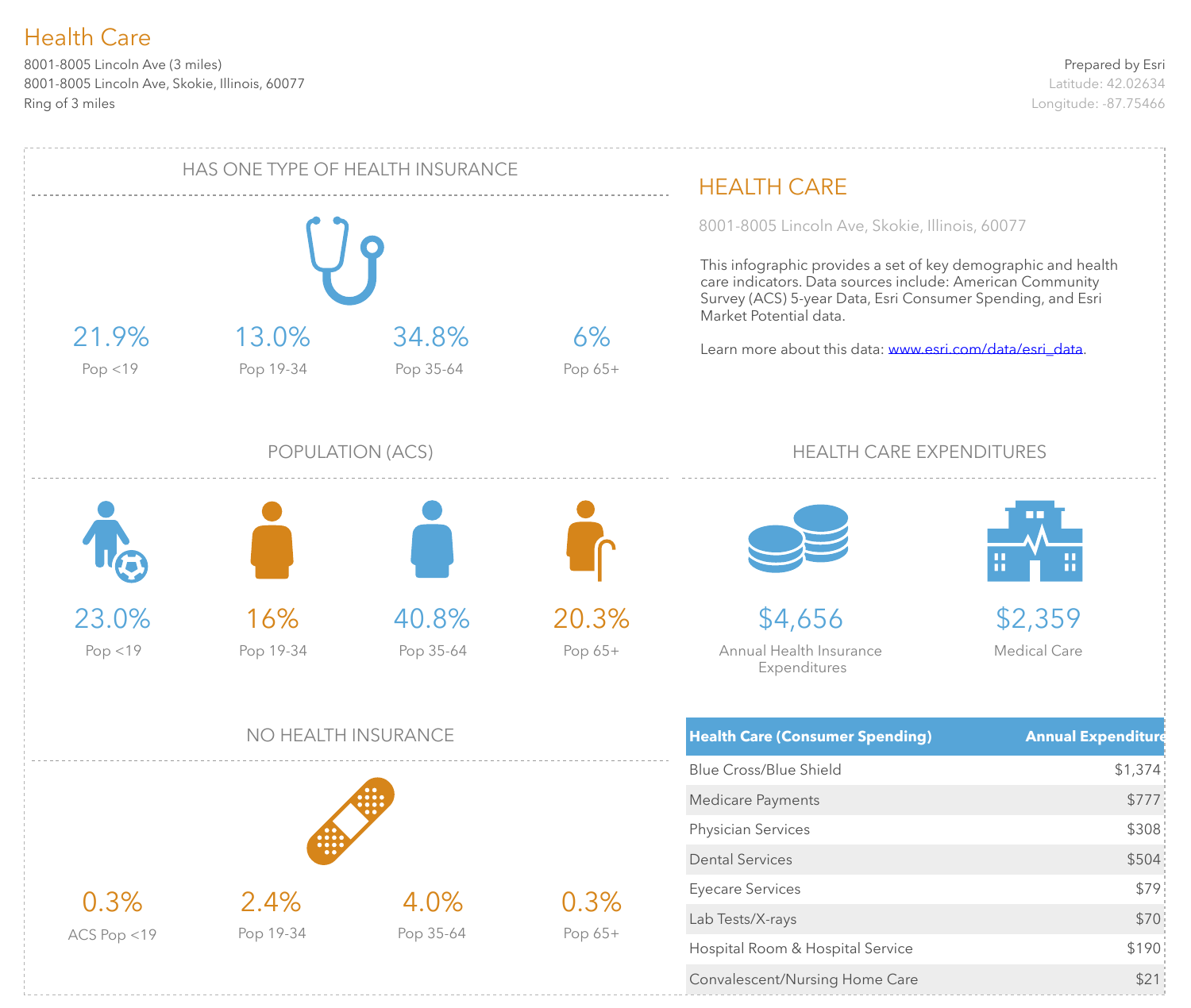8001-8005 Lincoln Ave (3 miles) 8001-8005 Lincoln Ave, Skokie, Illinois, 60077 Ring of 3 miles

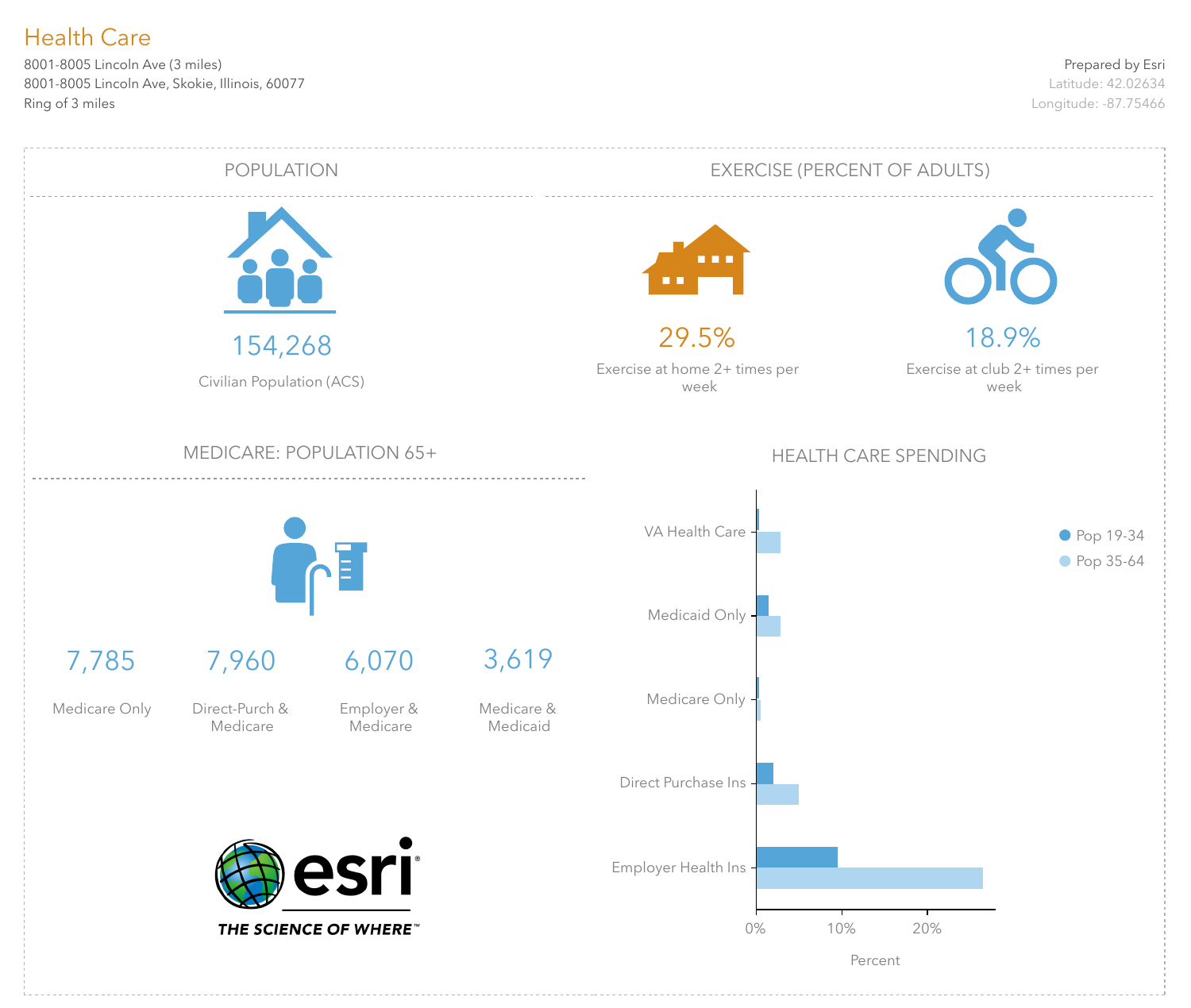8001-8005 Lincoln Ave (3 miles) 8001-8005 Lincoln Ave, Skokie, Illinois, 60077 Ring of 3 miles

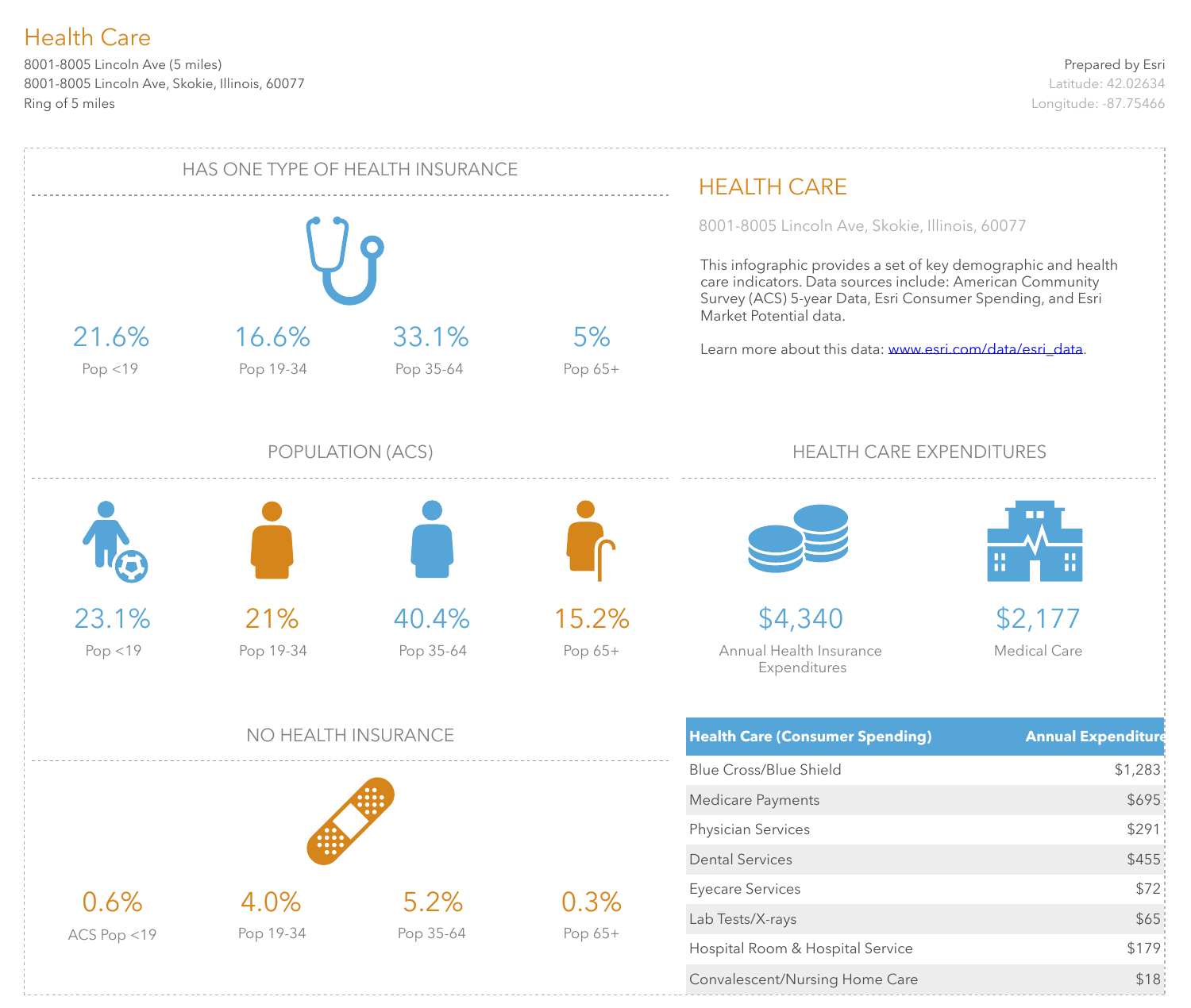8001-8005 Lincoln Ave (5 miles) 8001-8005 Lincoln Ave, Skokie, Illinois, 60077 Ring of 5 miles

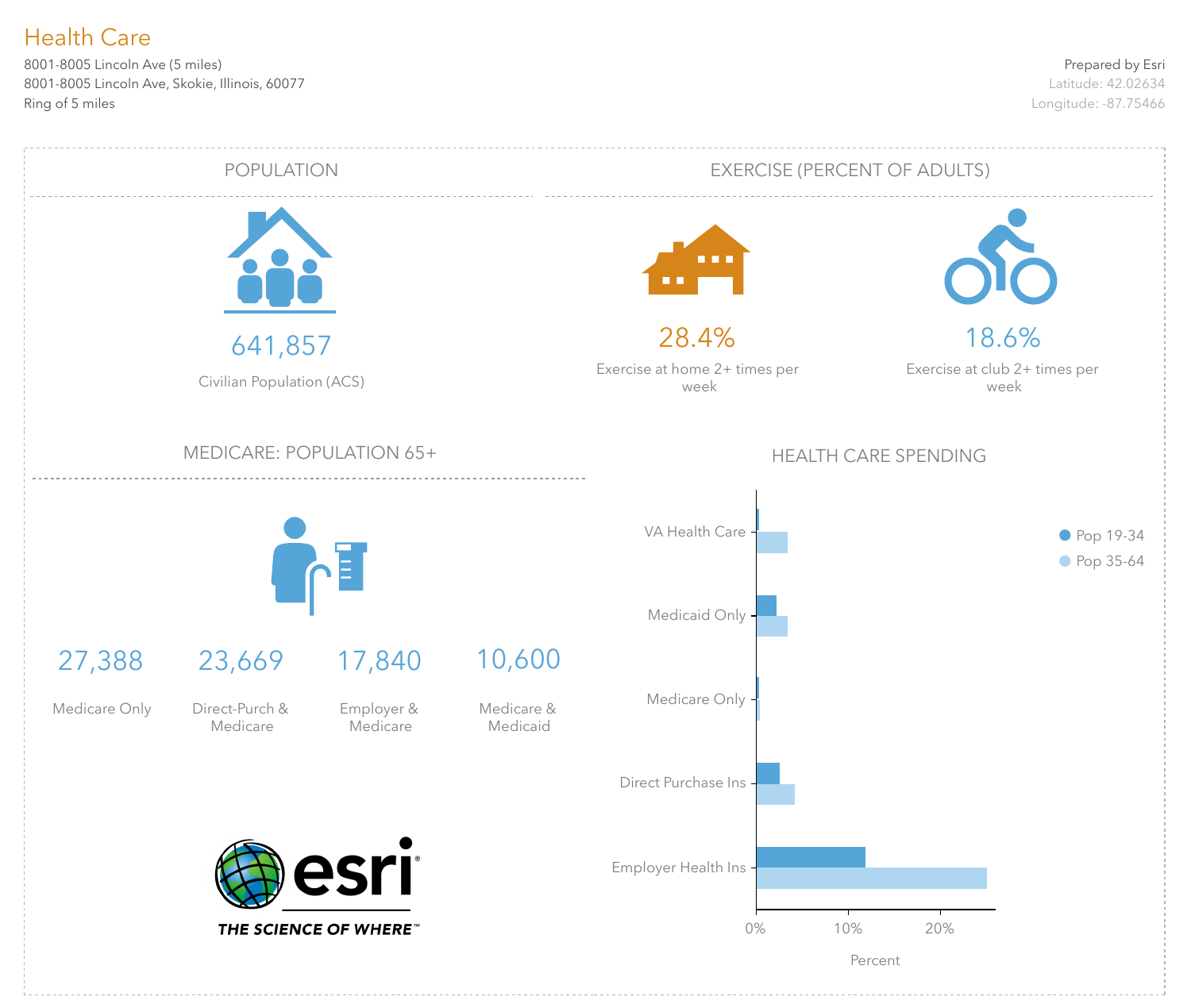8001-8005 Lincoln Ave (5 miles) 8001-8005 Lincoln Ave, Skokie, Illinois, 60077 Ring of 5 miles

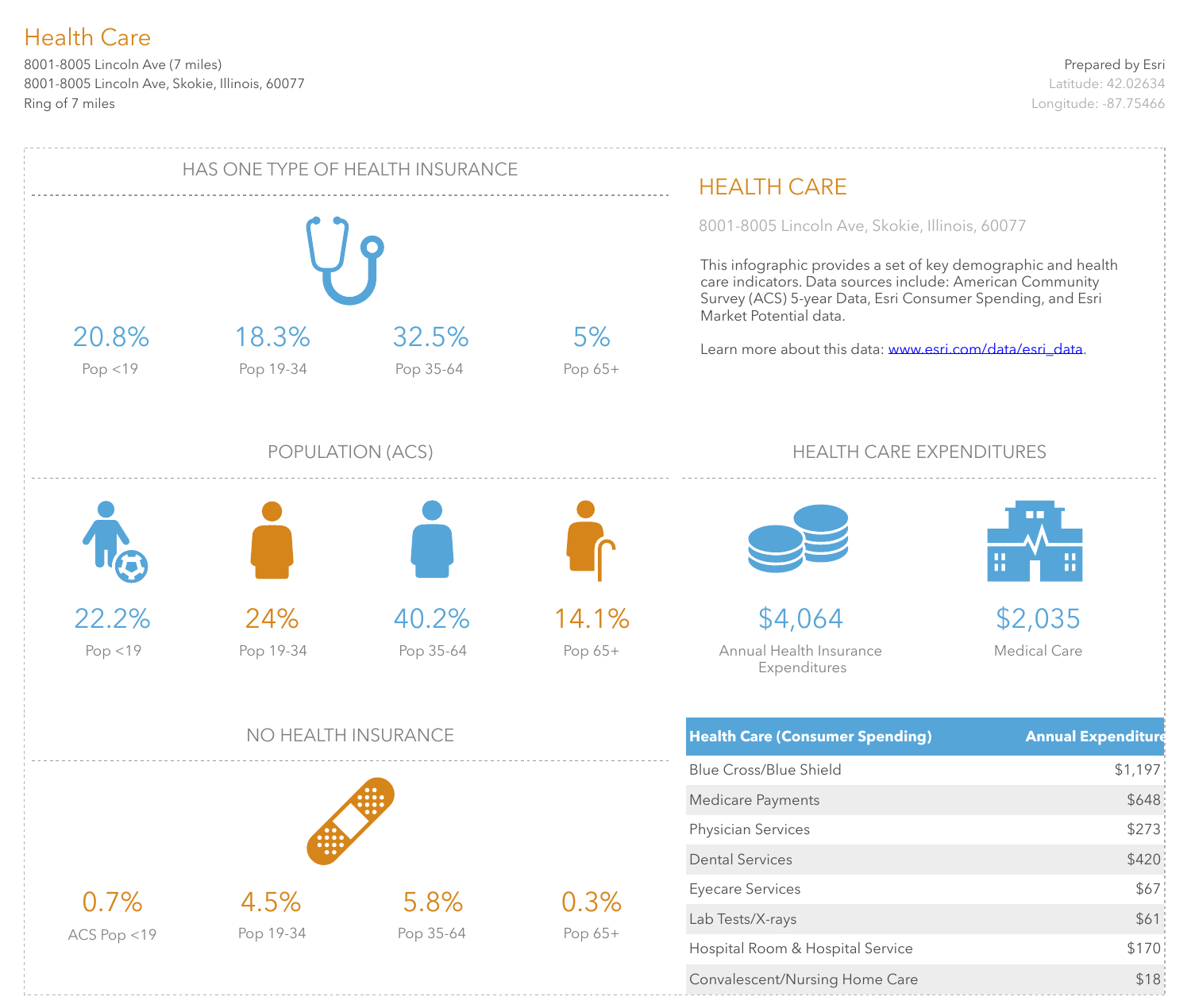8001-8005 Lincoln Ave (7 miles) 8001-8005 Lincoln Ave, Skokie, Illinois, 60077 Ring of 7 miles

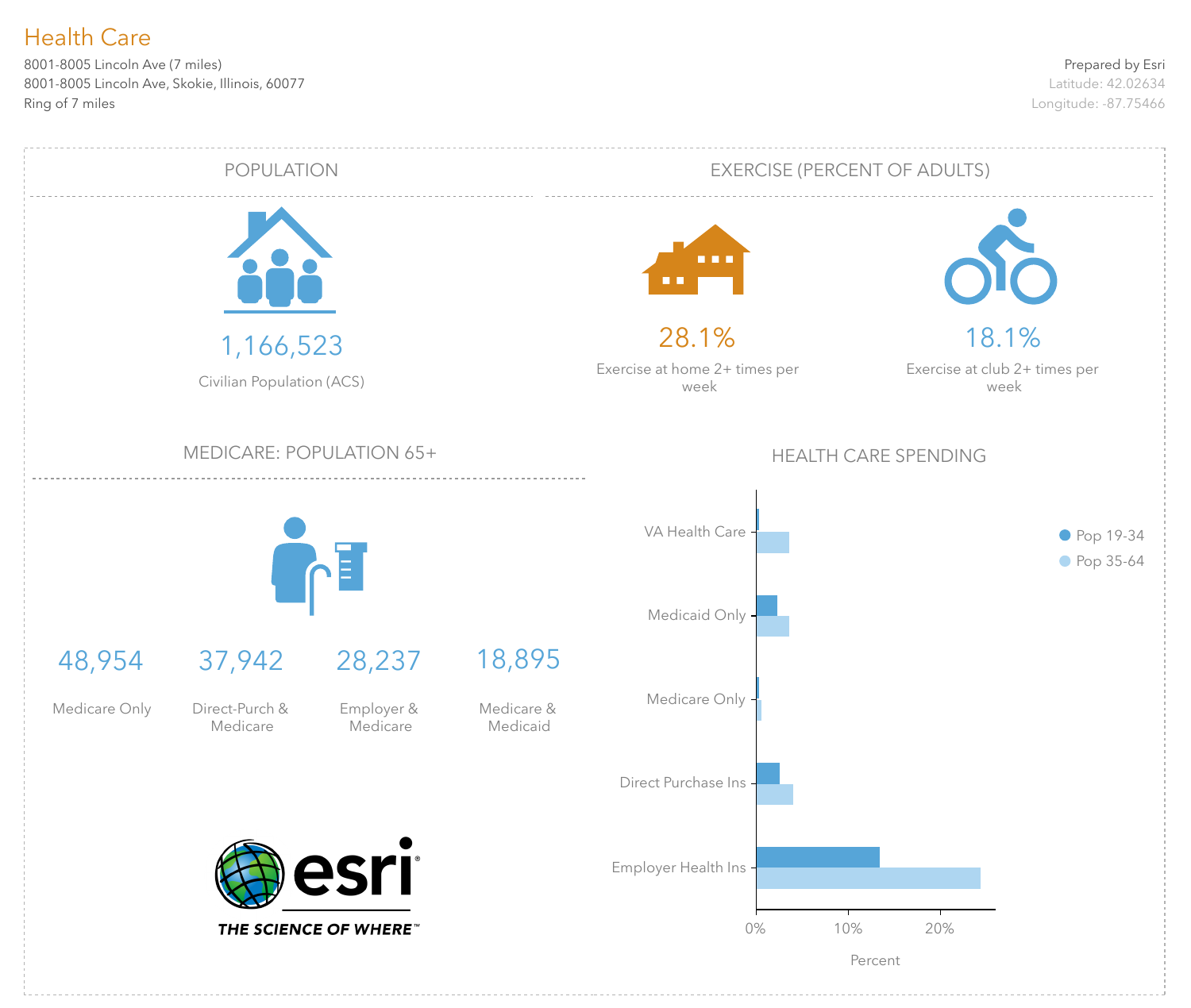8001-8005 Lincoln Ave (7 miles) 8001-8005 Lincoln Ave, Skokie, Illinois, 60077 Ring of 7 miles

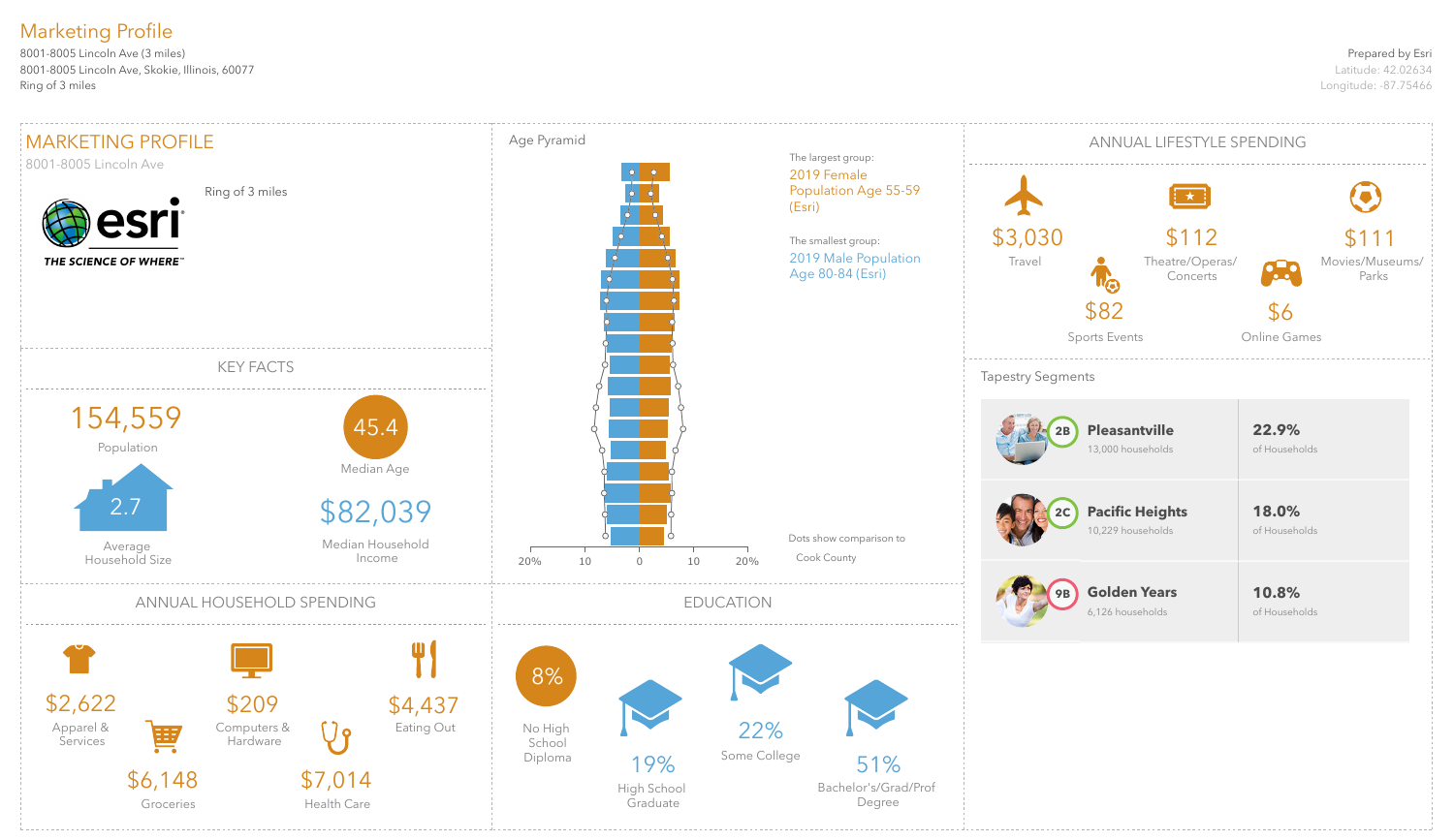#### Prepared by Esri

Latitude: 42.02634 Longitude: -87.75466

8001-8005 Lincoln Ave (3 miles) 8001-8005 Lincoln Ave, Skokie, Illinois, 60077 Ring of 3 miles

# Marketing Profile

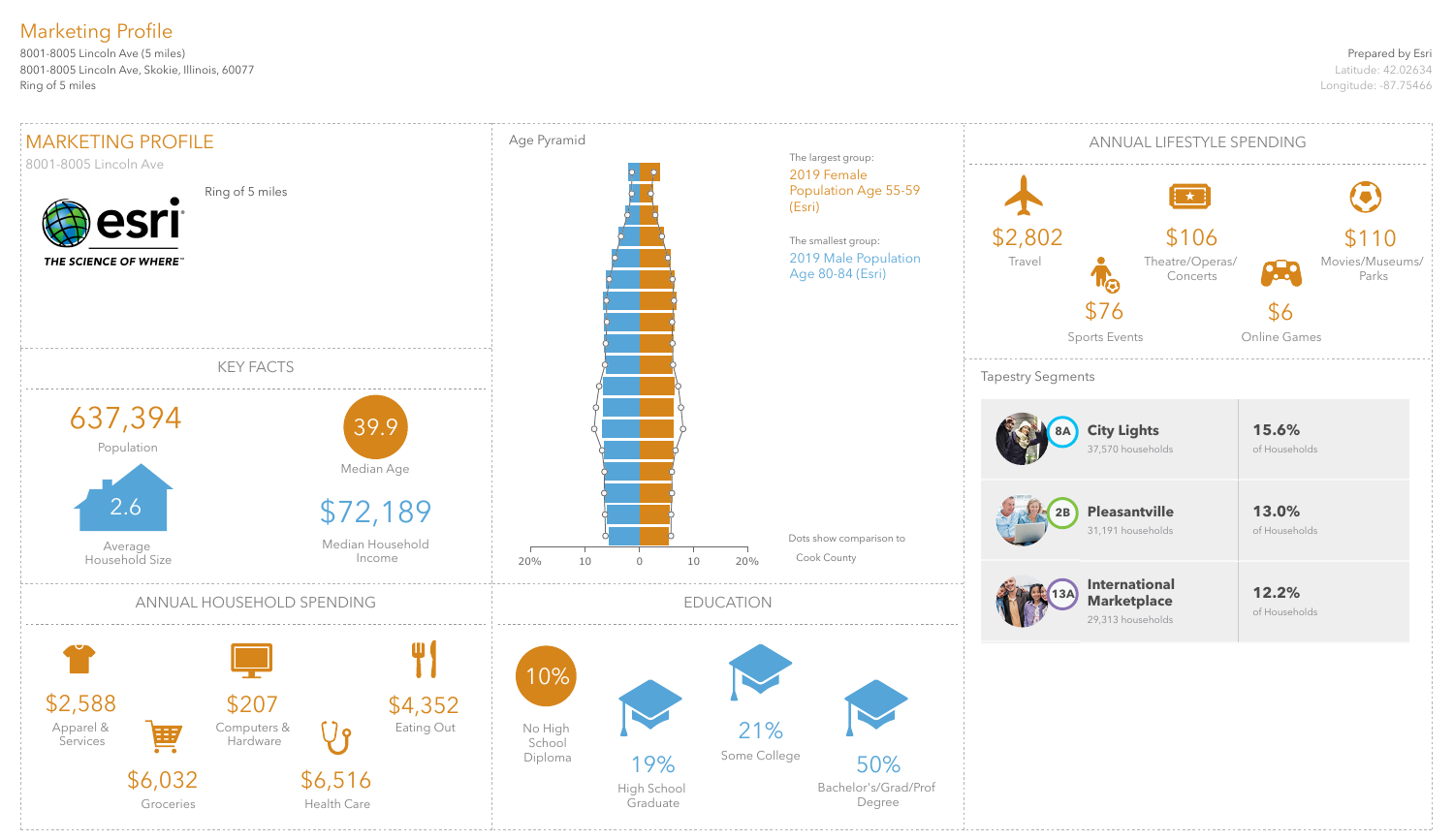#### Prepared by Esri

Latitude: 42.02634 Longitude: -87.75466

8001-8005 Lincoln Ave (5 miles) 8001-8005 Lincoln Ave, Skokie, Illinois, 60077 Ring of 5 miles

# Marketing Profile

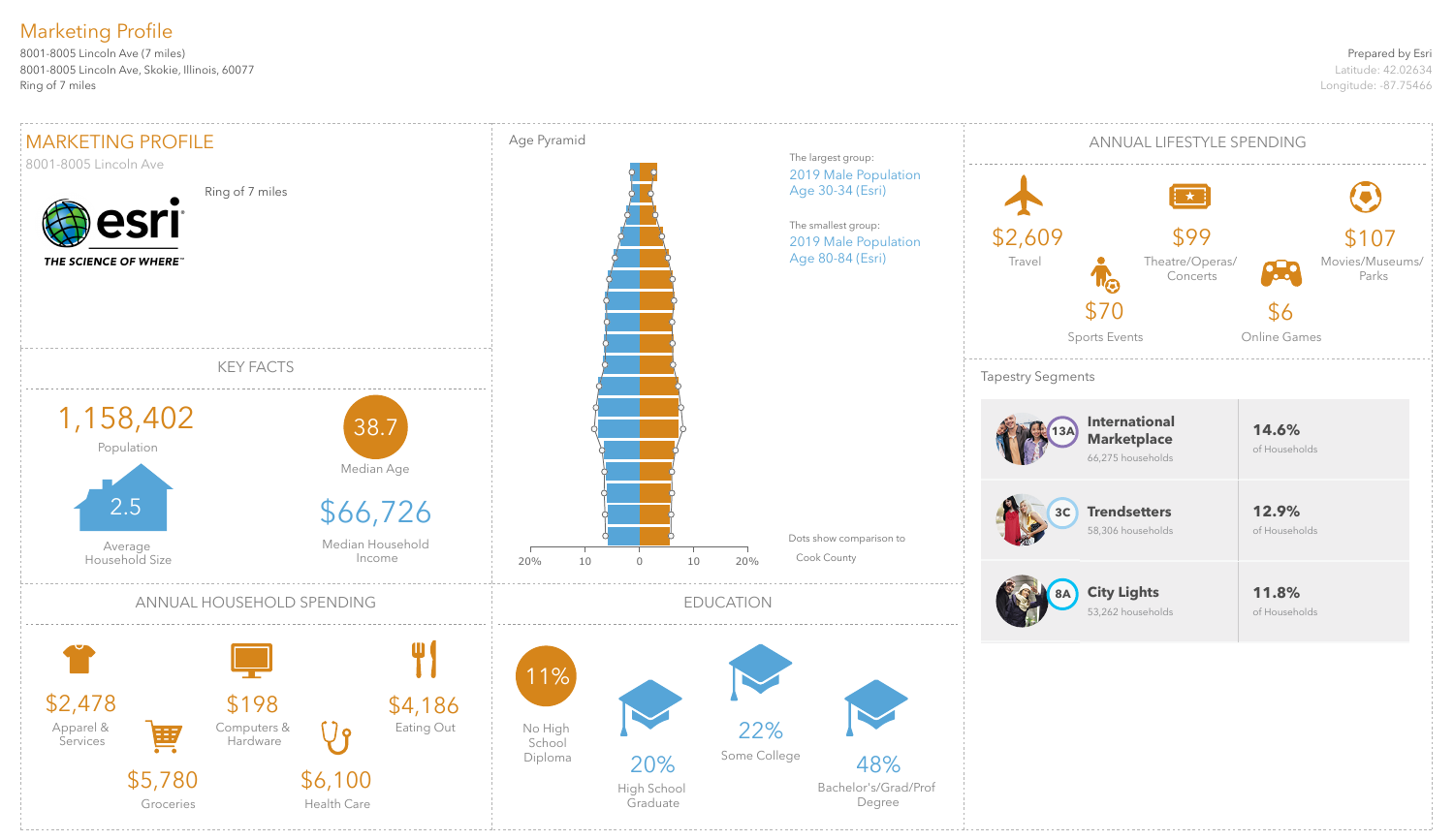#### Prepared by Esri

Latitude: 42.02634 Longitude: -87.75466

8001-8005 Lincoln Ave (7 miles) 8001-8005 Lincoln Ave, Skokie, Illinois, 60077 Ring of 7 miles

# Marketing Profile

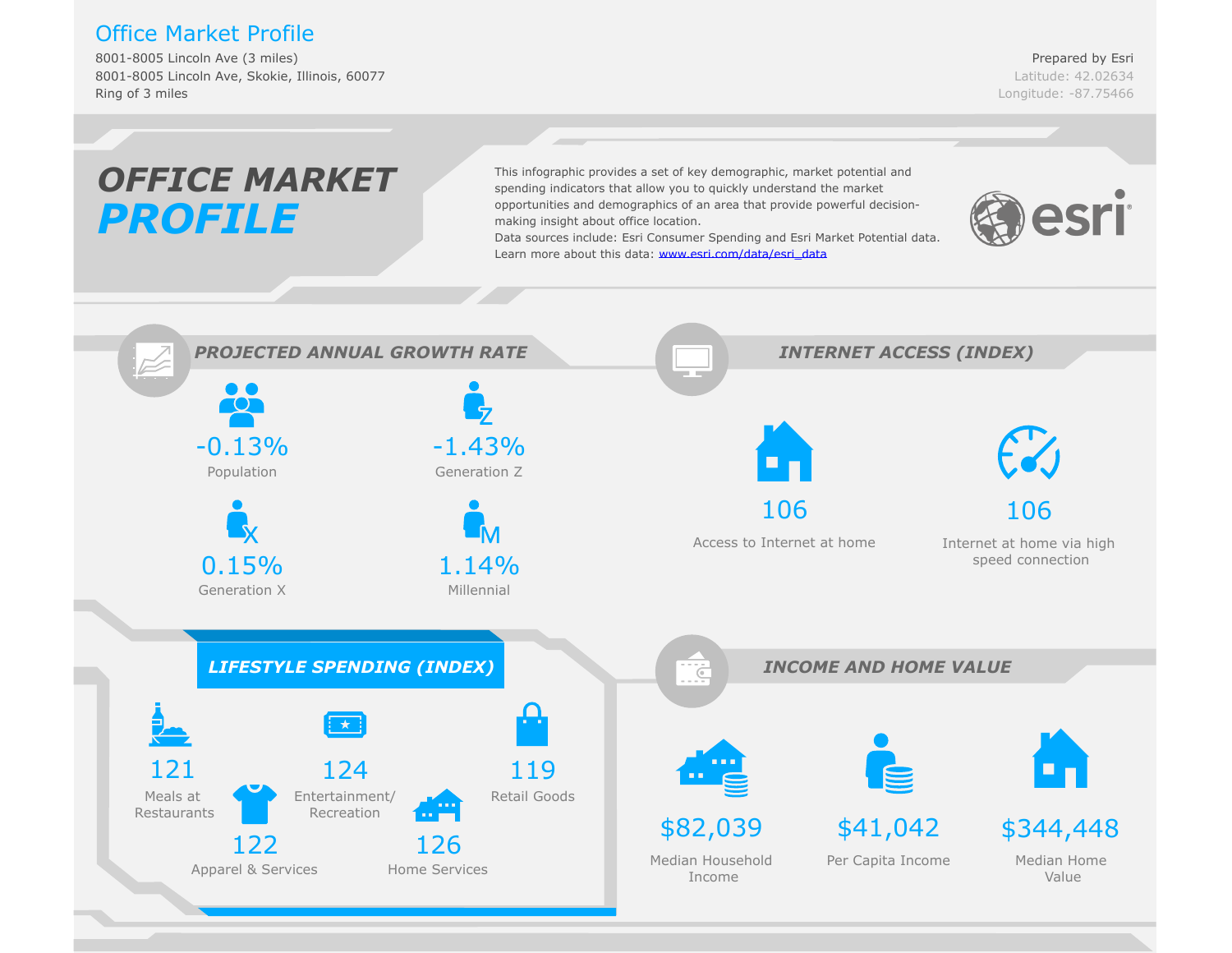## Office Market Profile

8001-8005 Lincoln Ave (3 miles) 8001-8005 Lincoln Ave, Skokie, Illinois, 60077 Ring of 3 miles

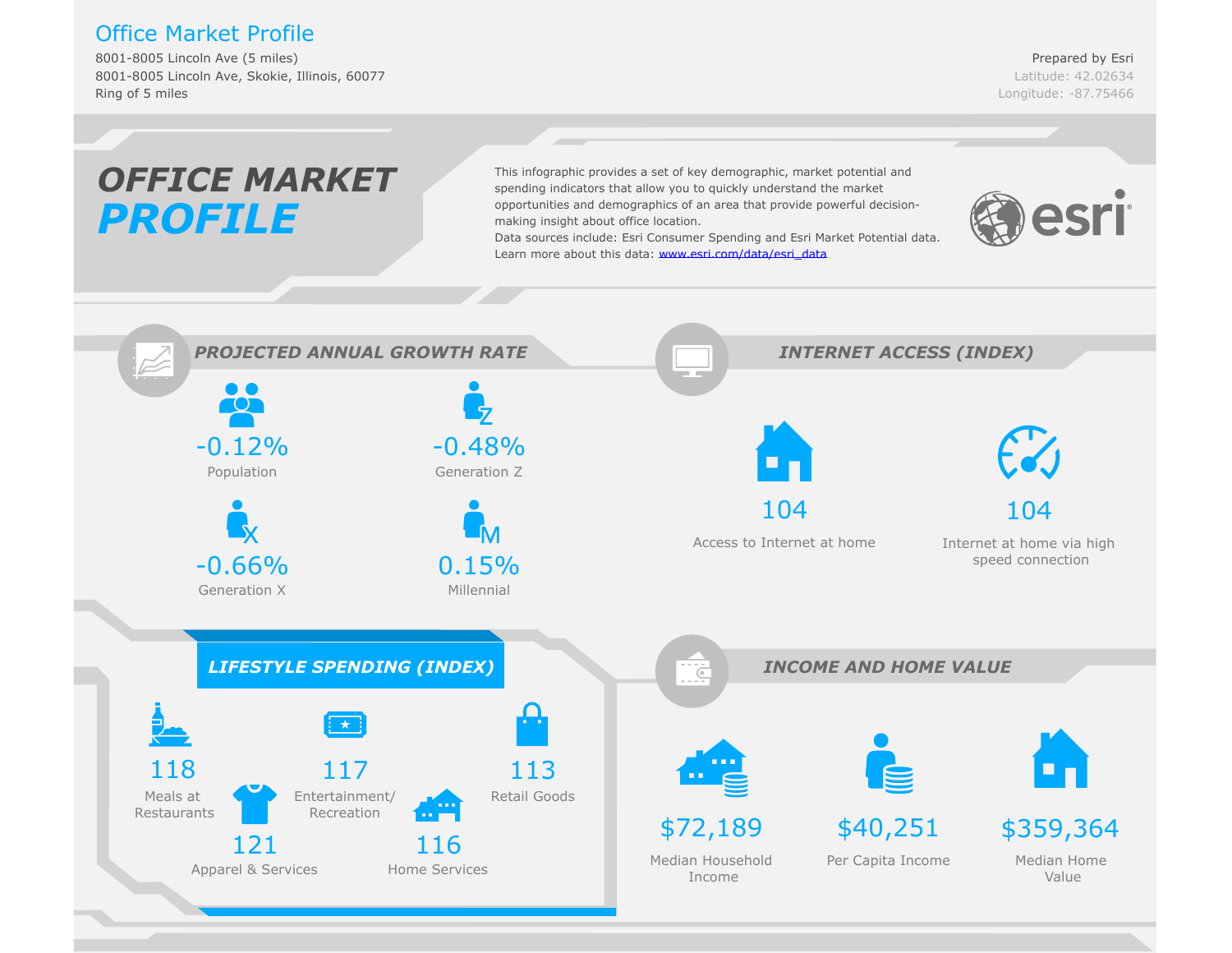## Office Market Profile

8001-8005 Lincoln Ave (5 miles) 8001-8005 Lincoln Ave, Skokie, Illinois, 60077 Ring of 5 miles

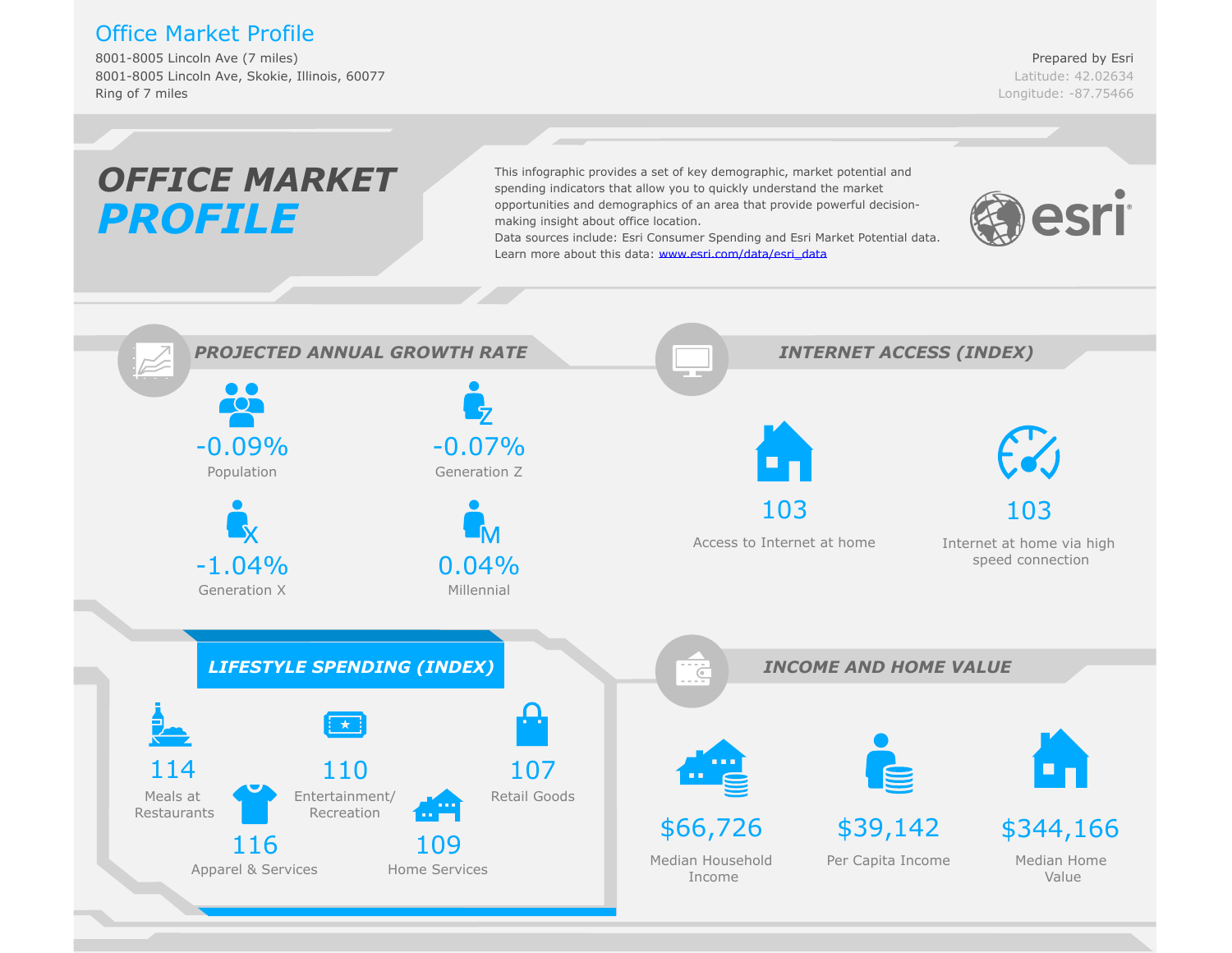## Office Market Profile

8001-8005 Lincoln Ave (7 miles) 8001-8005 Lincoln Ave, Skokie, Illinois, 60077 Ring of 7 miles

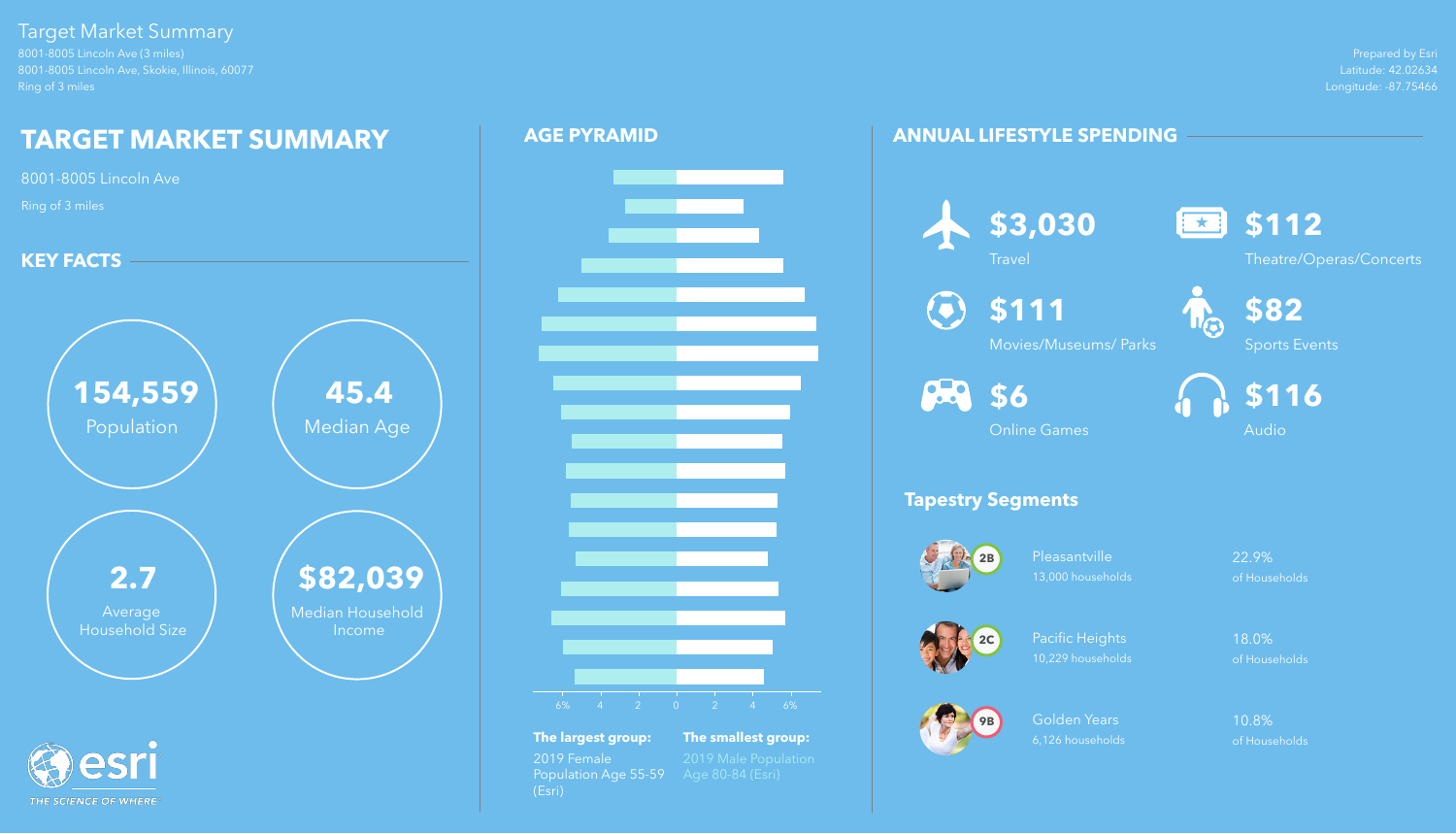Prepared by Esri Latitude: 42.02634 Longitude: -87.75466

8001-8005 Lincoln Ave (3 miles) 8001-8005 Lincoln Ave, Skokie, Illinois, 60077 Ring of 3 miles

> Pleasantville 22.9% 13,000 households of Households

# Target Market Summary

THE SCIENCE OF WHERE

Golden Years 10.8% 6,126 households of Households

# **ANNUAL LIFESTYLE SPENDING**



# **Tapestry Segments**

 $\odot$ **\$111**





Pacific Heights 18.0% 10,229 households of Households







Theatre/Operas/Concerts



Movies/Museums/ Parks

**88** \$6



Sports Events



Online Games





# $-6\%$  4 2 0 2 4 6%

**The largest group: The smallest group:** 2019 Female 2019 Male Population<br>Population Age 55-59 Age 80-84 (Esri) Population Age 55-59 (Esri)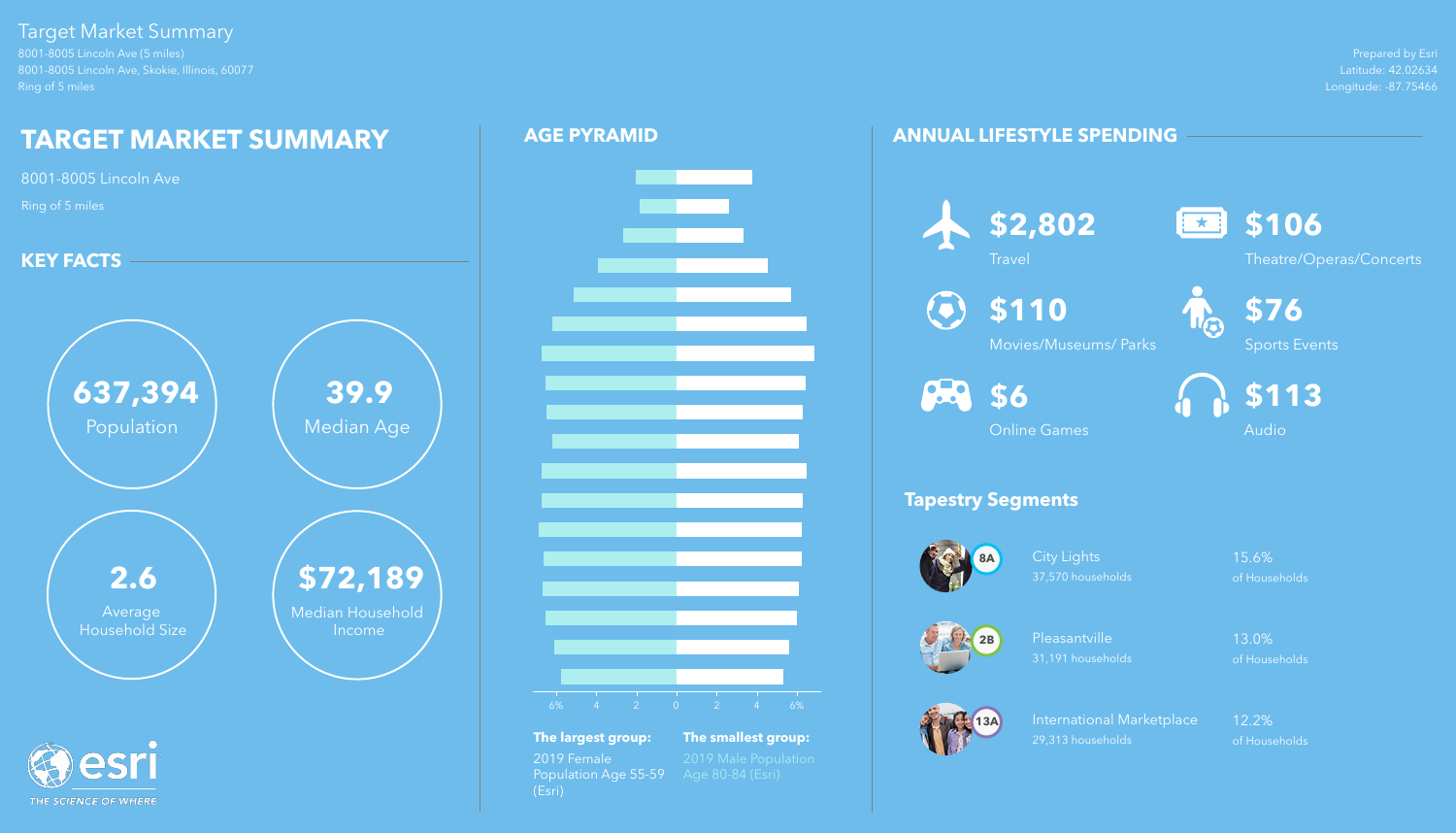Prepared by Esri Latitude: 42.02634 Longitude: -87.75466

8001-8005 Lincoln Ave (5 miles) 8001-8005 Lincoln Ave, Skokie, Illinois, 60077 Ring of 5 miles

# Target Market Summary

THE SCIENCE OF WHERE

City Lights 15.6% 37,570 households of Households

Pleasantville 13.0% 31,191 households of Households

# **ANNUAL LIFESTYLE SPENDING**

# **Tapestry Segments**



International Marketplace 12.2% 29,313 households of Households





**13A**



**Travel** 

 $\textcolor{blue}{\textbf{(c)}}$ 







**\$110**

Movies/Museums/ Parks

**88** \$6



Sports Events



Online Games



# **AGE PYRAMID**





**The largest group: The smallest group:** 2019 Female 2019 Male Population<br>Population Age 55-59 Age 80-84 (Esri) Population Age 55-59 (Esri)